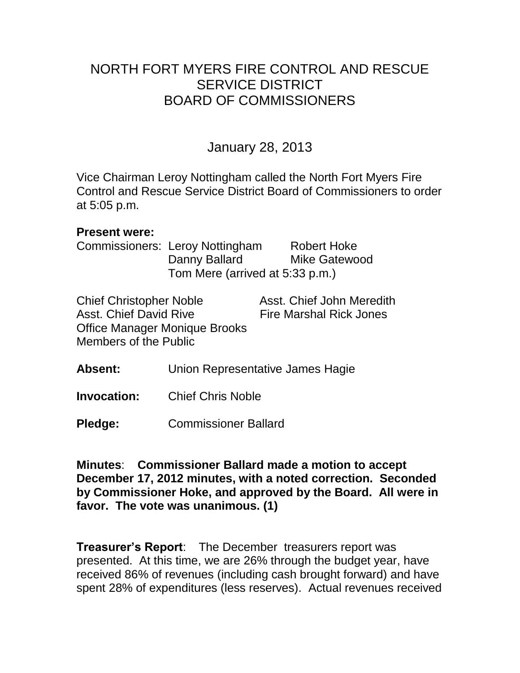# NORTH FORT MYERS FIRE CONTROL AND RESCUE SERVICE DISTRICT BOARD OF COMMISSIONERS

## January 28, 2013

Vice Chairman Leroy Nottingham called the North Fort Myers Fire Control and Rescue Service District Board of Commissioners to order at 5:05 p.m.

#### **Present were:**

Commissioners: Leroy Nottingham Robert Hoke Danny Ballard Mike Gatewood Tom Mere (arrived at 5:33 p.m.)

| <b>Chief Christopher Noble</b> | Asst. Chief John Meredith      |
|--------------------------------|--------------------------------|
| Asst. Chief David Rive         | <b>Fire Marshal Rick Jones</b> |
| Office Manager Monique Brooks  |                                |
| Members of the Public          |                                |

- **Absent:** Union Representative James Hagie
- **Invocation:** Chief Chris Noble
- **Pledge:** Commissioner Ballard

**Minutes**: **Commissioner Ballard made a motion to accept December 17, 2012 minutes, with a noted correction. Seconded by Commissioner Hoke, and approved by the Board. All were in favor. The vote was unanimous. (1)** 

**Treasurer's Report**: The December treasurers report was presented. At this time, we are 26% through the budget year, have received 86% of revenues (including cash brought forward) and have spent 28% of expenditures (less reserves). Actual revenues received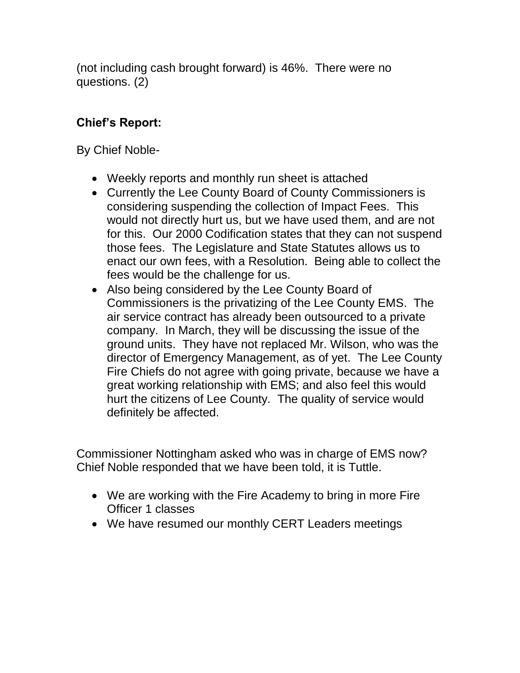(not including cash brought forward) is 46%. There were no questions. (2)

## **Chief's Report:**

By Chief Noble-

- Weekly reports and monthly run sheet is attached
- Currently the Lee County Board of County Commissioners is considering suspending the collection of Impact Fees. This would not directly hurt us, but we have used them, and are not for this. Our 2000 Codification states that they can not suspend those fees. The Legislature and State Statutes allows us to enact our own fees, with a Resolution. Being able to collect the fees would be the challenge for us.
- Also being considered by the Lee County Board of Commissioners is the privatizing of the Lee County EMS. The air service contract has already been outsourced to a private company. In March, they will be discussing the issue of the ground units. They have not replaced Mr. Wilson, who was the director of Emergency Management, as of yet. The Lee County Fire Chiefs do not agree with going private, because we have a great working relationship with EMS; and also feel this would hurt the citizens of Lee County. The quality of service would definitely be affected.

Commissioner Nottingham asked who was in charge of EMS now? Chief Noble responded that we have been told, it is Tuttle.

- We are working with the Fire Academy to bring in more Fire Officer 1 classes
- We have resumed our monthly CERT Leaders meetings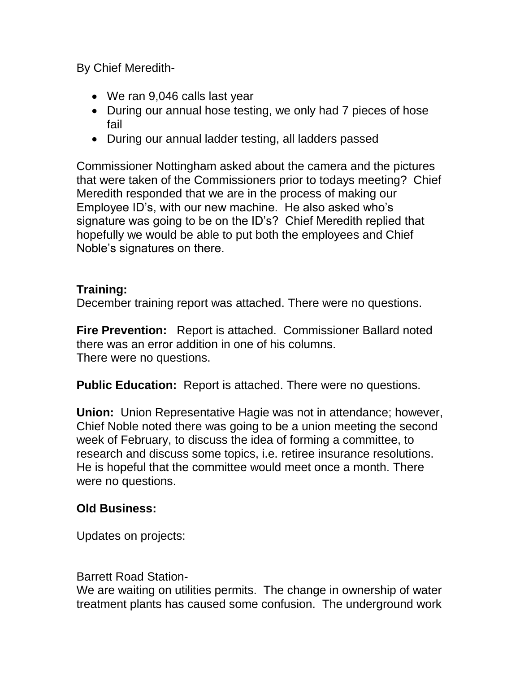By Chief Meredith-

- We ran 9,046 calls last year
- During our annual hose testing, we only had 7 pieces of hose fail
- During our annual ladder testing, all ladders passed

Commissioner Nottingham asked about the camera and the pictures that were taken of the Commissioners prior to todays meeting? Chief Meredith responded that we are in the process of making our Employee ID's, with our new machine. He also asked who's signature was going to be on the ID's? Chief Meredith replied that hopefully we would be able to put both the employees and Chief Noble's signatures on there.

### **Training:**

December training report was attached. There were no questions.

**Fire Prevention:** Report is attached. Commissioner Ballard noted there was an error addition in one of his columns. There were no questions.

**Public Education:** Report is attached. There were no questions.

**Union:** Union Representative Hagie was not in attendance; however, Chief Noble noted there was going to be a union meeting the second week of February, to discuss the idea of forming a committee, to research and discuss some topics, i.e. retiree insurance resolutions. He is hopeful that the committee would meet once a month. There were no questions.

## **Old Business:**

Updates on projects:

Barrett Road Station-

We are waiting on utilities permits. The change in ownership of water treatment plants has caused some confusion. The underground work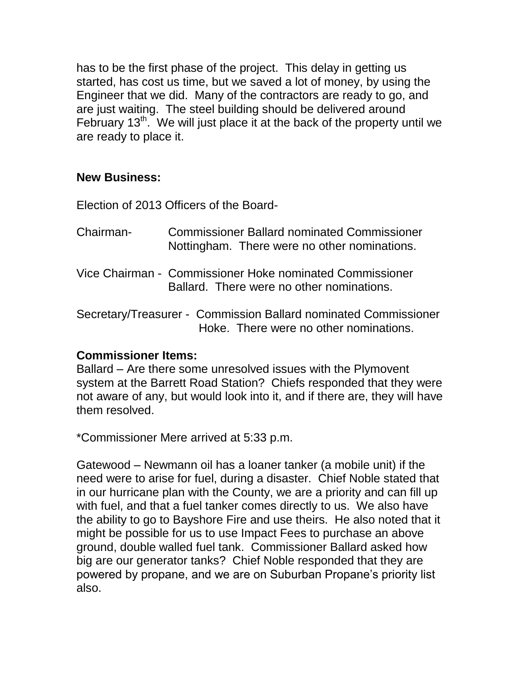has to be the first phase of the project. This delay in getting us started, has cost us time, but we saved a lot of money, by using the Engineer that we did. Many of the contractors are ready to go, and are just waiting. The steel building should be delivered around February  $13<sup>th</sup>$ . We will just place it at the back of the property until we are ready to place it.

### **New Business:**

Election of 2013 Officers of the Board-

- Chairman- Commissioner Ballard nominated Commissioner Nottingham. There were no other nominations.
- Vice Chairman Commissioner Hoke nominated Commissioner Ballard. There were no other nominations.

Secretary/Treasurer - Commission Ballard nominated Commissioner Hoke. There were no other nominations.

### **Commissioner Items:**

Ballard – Are there some unresolved issues with the Plymovent system at the Barrett Road Station? Chiefs responded that they were not aware of any, but would look into it, and if there are, they will have them resolved.

\*Commissioner Mere arrived at 5:33 p.m.

Gatewood – Newmann oil has a loaner tanker (a mobile unit) if the need were to arise for fuel, during a disaster. Chief Noble stated that in our hurricane plan with the County, we are a priority and can fill up with fuel, and that a fuel tanker comes directly to us. We also have the ability to go to Bayshore Fire and use theirs. He also noted that it might be possible for us to use Impact Fees to purchase an above ground, double walled fuel tank. Commissioner Ballard asked how big are our generator tanks? Chief Noble responded that they are powered by propane, and we are on Suburban Propane's priority list also.